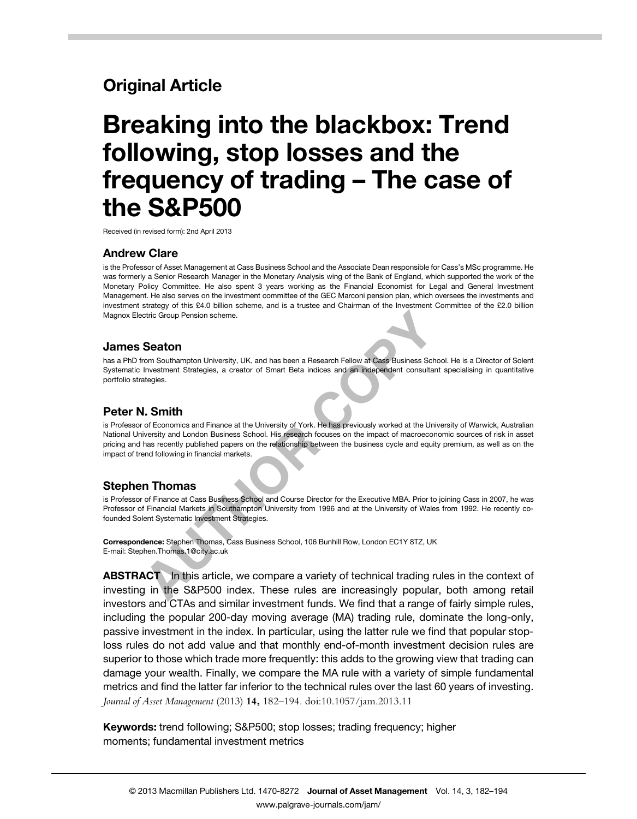## Original Article

## Breaking into the blackbox: Trend following, stop losses and the frequency of trading – The case of the S&P500

Received (in revised form): 2nd April 2013

## Andrew Clare

is the Professor of Asset Management at Cass Business School and the Associate Dean responsible for Cass 's MSc programme. He was formerly a Senior Research Manager in the Monetary Analysis wing of the Bank of England, which supported the work of the Monetary Policy Committee. He also spent 3 years working as the Financial Economist for Legal and General Investment Management. He also serves on the investment committee of the GEC Marconi pension plan, which oversees the investments and investment strategy of this £4.0 billion scheme, and is a trustee and Chairman of the Investment Committee of the £2.0 billion Magnox Electric Group Pension scheme.

### James Seaton

has a PhD from Southampton University, UK, and has been a Research Fellow at Cass Business School. He is a Director of Solent Systematic Investment Strategies, a creator of Smart Beta indices and an independent consultant specialising in quantitative portfolio strategies.

## Peter N. Smith

is Professor of Economics and Finance at the University of York. He has previously worked at the University of Warwick, Australian National University and London Business School. His research focuses on the impact of macroeconomic sources of risk in asset pricing and has recently published papers on the relationship between the business cycle and equity premium, as well as on the impact of trend following in financial markets.

## Stephen Thomas

is Professor of Finance at Cass Business School and Course Director for the Executive MBA. Prior to joining Cass in 2007, he was Professor of Financial Markets in Southampton University from 1996 and at the University of Wales from 1992. He recently cofounded Solent Systematic Investment Strategies.

Correspondence: Stephen Thomas, Cass Business School, 106 Bunhill Row, London EC1Y 8TZ, UK E-mail: Stephen.Thomas.1@city.ac.uk

 **AUTHOR COPY** ABSTRACT In this article, we compare a variety of technical trading rules in the context of investing in the S&P500 index. These rules are increasingly popular, both among retail investors and CTAs and similar investment funds. We find that a range of fairly simple rules, including the popular 200-day moving average (MA) trading rule, dominate the long-only, passive investment in the index. In particular, using the latter rule we find that popular stoploss rules do not add value and that monthly end-of-month investment decision rules are superior to those which trade more frequently: this adds to the growing view that trading can damage your wealth. Finally, we compare the MA rule with a variety of simple fundamental metrics and find the latter far inferior to the technical rules over the last 60 years of investing. Journal of Asset Management (2013) 14, 182-194. doi:10.1057/jam.2013.11

Keywords: trend following; S&P500; stop losses; trading frequency; higher moments; fundamental investment metrics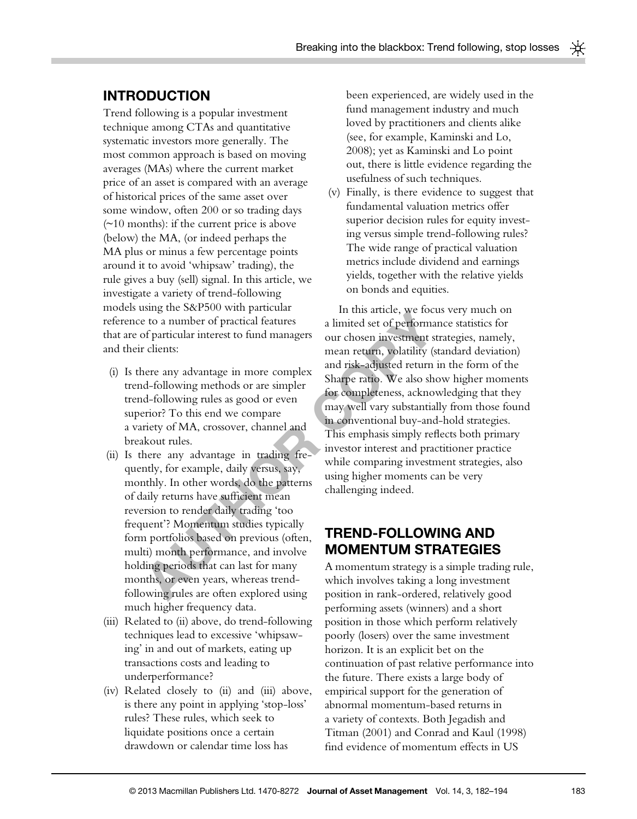## INTRODUCTION

Trend following is a popular investment technique among CTAs and quantitative systematic investors more generally. The most common approach is based on moving averages (MAs) where the current market price of an asset is compared with an average of historical prices of the same asset over some window, often 200 or so trading days (~10 months): if the current price is above (below) the MA, (or indeed perhaps the MA plus or minus a few percentage points around it to avoid 'whipsaw ' trading), the rule gives a buy (sell) signal. In this article, we investigate a variety of trend-following models using the S&P500 with particular reference to a number of practical features that are of particular interest to fund managers and their clients:

- (i) Is there any advantage in more complex trend-following methods or are simpler trend-following rules as good or even superior? To this end we compare a variety of MA, crossover, channel and breakout rules.
- Example the state of a mumber of practical features<br>
a limited set of performand their clients:<br>
the any advantage in more complex and risk-adjusted return<br>
that are of particular interest to fund managers<br>
and return, yol (ii) Is there any advantage in trading frequently, for example, daily versus, say, monthly. In other words, do the patterns of daily returns have sufficient mean reversion to render daily trading 'too frequent '? Momentum studies typically form portfolios based on previous (often, multi) month performance, and involve holding periods that can last for many months, or even years, whereas trendfollowing rules are often explored using much higher frequency data.
- (iii) Related to (ii) above, do trend-following techniques lead to excessive 'whipsawing' in and out of markets, eating up transactions costs and leading to underperformance?
- (iv) Related closely to (ii) and (iii) above, is there any point in applying 'stop-loss ' rules? These rules, which seek to liquidate positions once a certain drawdown or calendar time loss has

been experienced, are widely used in the fund management industry and much loved by practitioners and clients alike (see, for example, Kaminski and Lo, 2008); yet as Kaminski and Lo point out, there is little evidence regarding the usefulness of such techniques.

(v) Finally, is there evidence to suggest that fundamental valuation metrics offer superior decision rules for equity investing versus simple trend-following rules? The wide range of practical valuation metrics include dividend and earnings yields, together with the relative yields on bonds and equities.

In this article, we focus very much on a limited set of performance statistics for our chosen investment strategies, namely, mean return, volatility (standard deviation) and risk-adjusted return in the form of the Sharpe ratio. We also show higher moments for completeness, acknowledging that they may well vary substantially from those found in conventional buy-and-hold strategies. This emphasis simply reflects both primary investor interest and practitioner practice while comparing investment strategies, also using higher moments can be very challenging indeed.

## TREND-FOLLOWING AND MOMENTUM STRATEGIES

A momentum strategy is a simple trading rule, which involves taking a long investment position in rank-ordered, relatively good performing assets (winners) and a short position in those which perform relatively poorly (losers) over the same investment horizon. It is an explicit bet on the continuation of past relative performance into the future. There exists a large body of empirical support for the generation of abnormal momentum-based returns in a variety of contexts. Both Jegadish and Titman (2001) and Conrad and Kaul (1998) find evidence of momentum effects in US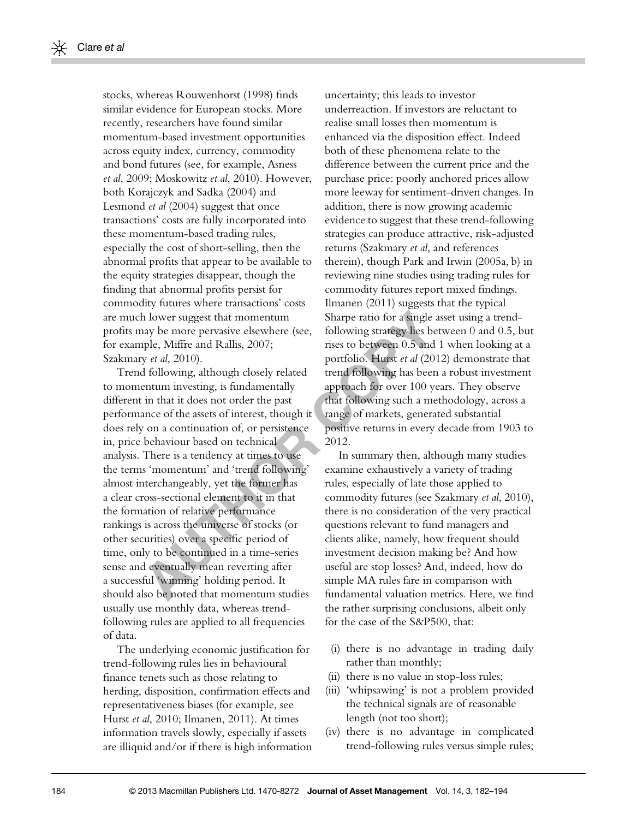stocks, whereas Rouwenhorst (1998) finds similar evidence for European stocks. More recently, researchers have found similar momentum-based investment opportunities across equity index, currency, commodity and bond futures (see, for example, Asness et al, 2009; Moskowitz et al, 2010). However, both Korajczyk and Sadka (2004) and Lesmond et al (2004) suggest that once transactions ' costs are fully incorporated into these momentum-based trading rules, especially the cost of short-selling, then the abnormal pro fits that appear to be available to the equity strategies disappear, though the finding that abnormal profits persist for commodity futures where transactions ' costs are much lower suggest that momentum pro fits may be more pervasive elsewhere (see, for example, Miffre and Rallis, 2007; Szakmary et al, 2010).

The much lower suggest that momentum<br>
The more provides may be more pervasive elsewhere (see, following strategy lies be<br>
to rexample, Miffre and Rallis, 2007; insis to between 0.5 and<br>
Figure 2010). The state of the sea o Trend following, although closely related to momentum investing, is fundamentally different in that it does not order the past performance of the assets of interest, though it does rely on a continuation of, or persistence in, price behaviour based on technical analysis. There is a tendency at times to use the terms 'momentum ' and 'trend following ' almost interchangeably, yet the former has a clear cross-sectional element to it in that the formation of relative performance rankings is across the universe of stocks (or other securities) over a speci fic period of time, only to be continued in a time-series sense and eventually mean reverting after a successful 'winning ' holding period. It should also be noted that momentum studies usually use monthly data, whereas trendfollowing rules are applied to all frequencies of data.

The underlying economic justi fication for trend-following rules lies in behavioural finance tenets such as those relating to herding, disposition, con firmation effects and representativeness biases (for example, see Hurst et al, 2010; Ilmanen, 2011). At times information travels slowly, especially if assets are illiquid and/or if there is high information

uncertainty; this leads to investor underreaction. If investors are reluctant to realise small losses then momentum is enhanced via the disposition effect. Indeed both of these phenomena relate to the difference between the current price and the purchase price: poorly anchored prices allow more leeway for sentiment-driven changes. In addition, there is now growing academic evidence to suggest that these trend-following strategies can produce attractive, risk-adjusted returns (Szakmary et al, and references therein), though Park and Irwin (2005a, b) in reviewing nine studies using trading rules for commodity futures report mixed findings. Ilmanen (2011) suggests that the typical Sharpe ratio for a single asset using a trendfollowing strategy lies between 0 and 0.5, but rises to between 0.5 and 1 when looking at a portfolio. Hurst et al (2012) demonstrate that trend following has been a robust investment approach for over 100 years. They observe that following such a methodology, across a range of markets, generated substantial positive returns in every decade from 1903 to 2012.

In summary then, although many studies examine exhaustively a variety of trading rules, especially of late those applied to commodity futures (see Szakmary et al, 2010), there is no consideration of the very practical questions relevant to fund managers and clients alike, namely, how frequent should investment decision making be? And how useful are stop losses? And, indeed, how do simple MA rules fare in comparison with fundamental valuation metrics. Here, we find the rather surprising conclusions, albeit only for the case of the S&P500, that:

- (i) there is no advantage in trading daily rather than monthly;
- (ii) there is no value in stop-loss rules;
- (iii) 'whipsawing ' is not a problem provided the technical signals are of reasonable length (not too short);
- (iv) there is no advantage in complicated trend-following rules versus simple rules;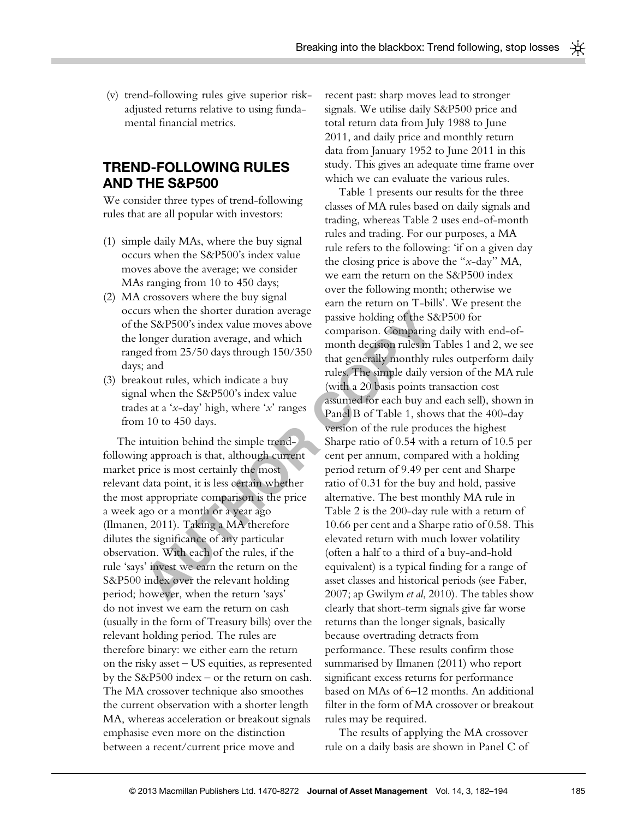(v) trend-following rules give superior riskadjusted returns relative to using fundamental financial metrics.

## TREND-FOLLOWING RULES AND THE S&P500

We consider three types of trend-following rules that are all popular with investors:

- (1) simple daily MAs, where the buy signal occurs when the S&P500 's index value moves above the average; we consider MAs ranging from 10 to 450 days;
- (2) MA crossovers where the buy signal occurs when the shorter duration average of the S&P500 's index value moves above the longer duration average, and which ranged from 25/50 days through 150/350 days; and
- (3) breakout rules, which indicate a buy signal when the S&P500 's index value trades at a 'x-day' high, where 'x' ranges from 10 to 450 days.

occus when the snorter duration average<br>
of the S&P500's index value moves above<br>
the longer duration average, and which<br>
the longer duration average, and which<br>
ranged from 25/50 days through 150/350 month decision rules, The intuition behind the simple trendfollowing approach is that, although current market price is most certainly the most relevant data point, it is less certain whether the most appropriate comparison is the price a week ago or a month or a year ago (Ilmanen, 2011). Taking a MA therefore dilutes the signi ficance of any particular observation. With each of the rules, if the rule 'says ' invest we earn the return on the S&P500 index over the relevant holding period; however, when the return 'says ' do not invest we earn the return on cash (usually in the form of Treasury bills) over the relevant holding period. The rules are therefore binary: we either earn the return on the risky asset – US equities, as represented by the S&P500 index – or the return on cash. The MA crossover technique also smoothes the current observation with a shorter length MA, whereas acceleration or breakout signals emphasise even more on the distinction between a recent/current price move and

recent past: sharp moves lead to stronger signals. We utilise daily S&P500 price and total return data from July 1988 to June 2011, and daily price and monthly return data from January 1952 to June 2011 in this study. This gives an adequate time frame over which we can evaluate the various rules.

Table 1 presents our results for the three classes of MA rules based on daily signals and trading, whereas Table 2 uses end-of-month rules and trading. For our purposes, a MA rule refers to the following: 'if on a given day the closing price is above the " x-day " MA, we earn the return on the S&P500 index over the following month; otherwise we earn the return on T-bills '. We present the passive holding of the S&P500 for comparison. Comparing daily with end-ofmonth decision rules in Tables 1 and 2, we see that generally monthly rules outperform daily rules. The simple daily version of the MA rule (with a 20 basis points transaction cost assumed for each buy and each sell), shown in Panel B of Table 1, shows that the 400-day version of the rule produces the highest Sharpe ratio of 0.54 with a return of 10.5 per cent per annum, compared with a holding period return of 9.49 per cent and Sharpe ratio of 0.31 for the buy and hold, passive alternative. The best monthly MA rule in Table 2 is the 200-day rule with a return of 10.66 per cent and a Sharpe ratio of 0.58. This elevated return with much lower volatility (often a half to a third of a buy-and-hold equivalent) is a typical finding for a range of asset classes and historical periods (see Faber, 2007; ap Gwilym et al, 2010). The tables show clearly that short-term signals give far worse returns than the longer signals, basically because overtrading detracts from performance. These results con firm those summarised by Ilmanen (2011) who report signi ficant excess returns for performance based on MAs of 6 –12 months. An additional filter in the form of MA crossover or breakout rules may be required.

The results of applying the MA crossover rule on a daily basis are shown in Panel C of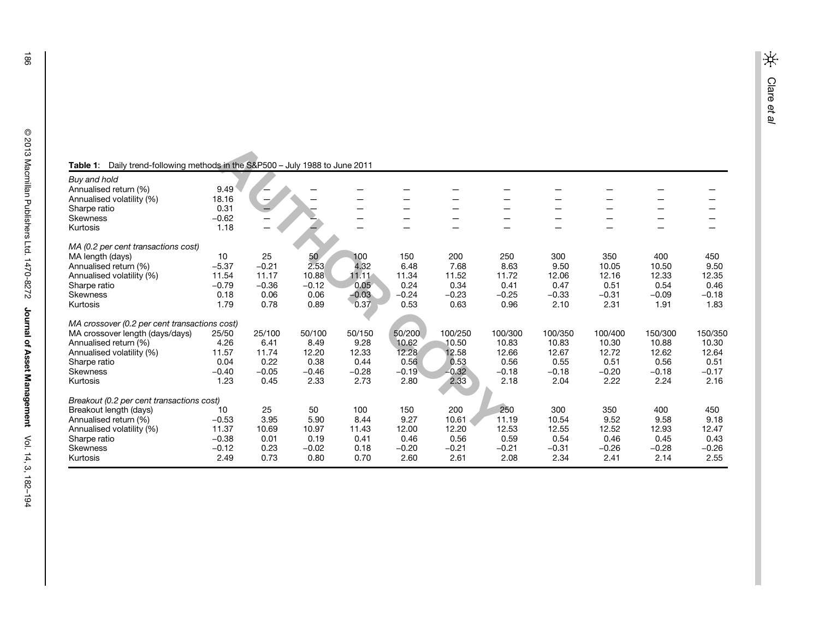# Table 1: Duly trend -50 owing methods in the S&P500 - July 1988 to June 2011<br>
Any and hold<br>
Any and hold<br>
Annualisati volume (%)<br>
Annualisati volume (%)<br>
Annualisati volume (%)<br>
Sharp and the control of the control of the Sharpe ratio <sup>−</sup>0.38 0.01 0.19 0.41 0.46 0.56 0.59 0.54 0.46 0.45 0.43 **Skewness**  <sup>−</sup>0.12 0.23 <sup>−</sup>0.02 0.18 <sup>−</sup>0.20 <sup>−</sup>0.21 <sup>−</sup>0.21 <sup>−</sup>0.31 <sup>−</sup>0.26 <sup>−</sup>0.28 <sup>−</sup>0.26 Kurtosis 2.49 0.73 0.80 0.70 2.60 2.61 2.08 2.34 2.41 2.14 2.552.55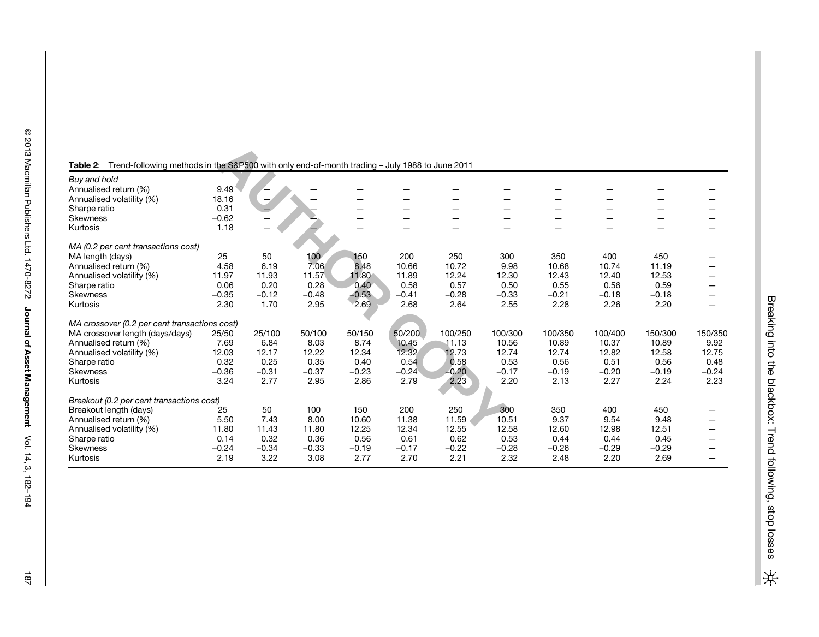| Trend-following methods in the S&P500 with only end-of-month trading - July 1988 to June 2011<br>Table 2: |         |         |         |         |         |         |         |         |         |         |         |
|-----------------------------------------------------------------------------------------------------------|---------|---------|---------|---------|---------|---------|---------|---------|---------|---------|---------|
| Buy and hold                                                                                              |         |         |         |         |         |         |         |         |         |         |         |
| Annualised return (%)                                                                                     | 9.49    |         |         |         |         |         |         |         |         |         |         |
| Annualised volatility (%)                                                                                 | 18.16   |         |         |         |         |         |         |         |         |         |         |
| Sharpe ratio                                                                                              | 0.31    |         |         |         |         |         |         |         |         |         |         |
| <b>Skewness</b>                                                                                           | $-0.62$ |         |         |         |         |         |         |         |         |         |         |
| Kurtosis                                                                                                  | 1.18    |         |         |         |         |         |         |         |         |         |         |
|                                                                                                           |         |         |         |         |         |         |         |         |         |         |         |
| MA (0.2 per cent transactions cost)                                                                       |         |         |         |         |         |         |         |         |         |         |         |
| MA length (days)                                                                                          | 25      | 50      | 100     | 150     | 200     | 250     | 300     | 350     | 400     | 450     |         |
| Annualised return (%)                                                                                     | 4.58    | 6.19    | 7.06    | 8.48    | 10.66   | 10.72   | 9.98    | 10.68   | 10.74   | 11.19   |         |
| Annualised volatility (%)                                                                                 | 11.97   | 11.93   | 11.57   | 11.80   | 11.89   | 12.24   | 12.30   | 12.43   | 12.40   | 12.53   |         |
| Sharpe ratio                                                                                              | 0.06    | 0.20    | 0.28    | 0.40    | 0.58    | 0.57    | 0.50    | 0.55    | 0.56    | 0.59    |         |
| <b>Skewness</b>                                                                                           | $-0.35$ | $-0.12$ | $-0.48$ | $-0.53$ | $-0.41$ | $-0.28$ | $-0.33$ | $-0.21$ | $-0.18$ | $-0.18$ |         |
| Kurtosis                                                                                                  | 2.30    | 1.70    | 2.95    | 2.69    | 2.68    | 2.64    | 2.55    | 2.28    | 2.26    | 2.20    |         |
| MA crossover (0.2 per cent transactions cost)                                                             |         |         |         |         |         |         |         |         |         |         |         |
| MA crossover length (days/days)                                                                           | 25/50   | 25/100  | 50/100  | 50/150  | 50/200  | 100/250 | 100/300 | 100/350 | 100/400 | 150/300 | 150/350 |
| Annualised return (%)                                                                                     | 7.69    | 6.84    | 8.03    | 8.74    | 10.45   | 11.13   | 10.56   | 10.89   | 10.37   | 10.89   | 9.92    |
| Annualised volatility (%)                                                                                 | 12.03   | 12.17   | 12.22   | 12.34   | 12.32   | 12.73   | 12.74   | 12.74   | 12.82   | 12.58   | 12.75   |
| Sharpe ratio                                                                                              | 0.32    | 0.25    | 0.35    | 0.40    | 0.54    | 0.58    | 0.53    | 0.56    | 0.51    | 0.56    | 0.48    |
| <b>Skewness</b>                                                                                           | $-0.36$ | $-0.31$ | $-0.37$ | $-0.23$ | $-0.24$ | $-0.20$ | $-0.17$ | $-0.19$ | $-0.20$ | $-0.19$ | $-0.24$ |
| Kurtosis                                                                                                  | 3.24    | 2.77    | 2.95    | 2.86    | 2.79    | 2.23    | 2.20    | 2.13    | 2.27    | 2.24    | 2.23    |
|                                                                                                           |         |         |         |         |         |         |         |         |         |         |         |
| Breakout (0.2 per cent transactions cost)                                                                 |         |         |         |         |         |         |         |         |         |         |         |
| Breakout length (days)                                                                                    | 25      | 50      | 100     | 150     | 200     | 250     | 300     | 350     | 400     | 450     |         |
| Annualised return (%)                                                                                     | 5.50    | 7.43    | 8.00    | 10.60   | 11.38   | 11.59   | 10.51   | 9.37    | 9.54    | 9.48    |         |
| Annualised volatility (%)                                                                                 | 11.80   | 11.43   | 11.80   | 12.25   | 12.34   | 12.55   | 12.58   | 12.60   | 12.98   | 12.51   |         |
| Sharpe ratio                                                                                              | 0.14    | 0.32    | 0.36    | 0.56    | 0.61    | 0.62    | 0.53    | 0.44    | 0.44    | 0.45    |         |
| <b>Skewness</b>                                                                                           | $-0.24$ | $-0.34$ | $-0.33$ | $-0.19$ | $-0.17$ | $-0.22$ | $-0.28$ | $-0.26$ | $-0.29$ | $-0.29$ |         |
| Kurtosis                                                                                                  | 2.19    | 3.22    | 3.08    | 2.77    | 2.70    | 2.21    | 2.32    | 2.48    | 2.20    | 2.69    |         |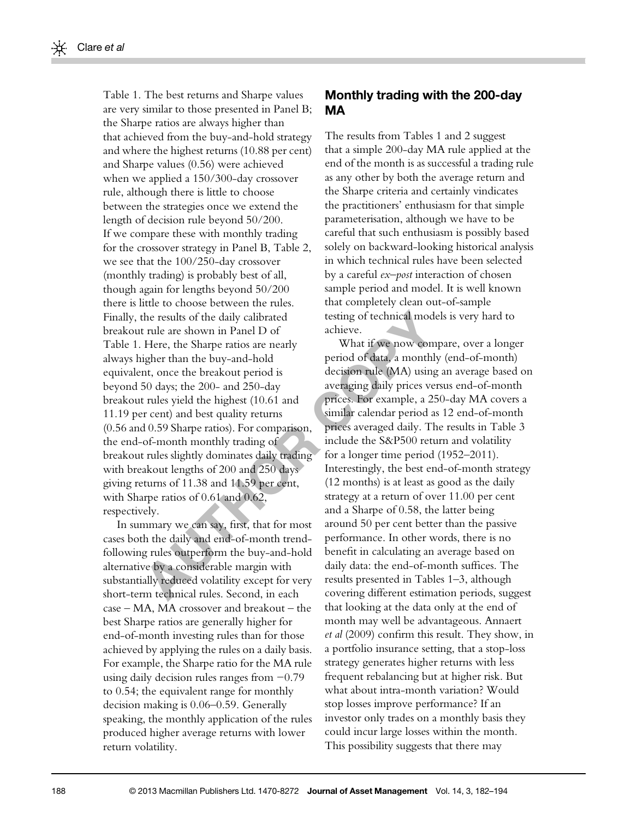**EXECUTE THE SET THE SET THE SET THE SET THE SET THE SET THANGE THE SET SIDE AND TRIMELY AND HERE THE HAT HERE THE HAT HERE THE SIDE THANGE THANGE THE SIDE THANGE THANGE THANGE THANGE THANGE THANGE THANGE THANGE THANGE TH** Table 1. The best returns and Sharpe values are very similar to those presented in Panel B; the Sharpe ratios are always higher than that achieved from the buy-and-hold strategy and where the highest returns (10.88 per cent) and Sharpe values (0.56) were achieved when we applied a 150/300-day crossover rule, although there is little to choose between the strategies once we extend the length of decision rule beyond 50/200. If we compare these with monthly trading for the crossover strategy in Panel B, Table 2, we see that the 100/250-day crossover (monthly trading) is probably best of all, though again for lengths beyond 50/200 there is little to choose between the rules. Finally, the results of the daily calibrated breakout rule are shown in Panel D of Table 1. Here, the Sharpe ratios are nearly always higher than the buy-and-hold equivalent, once the breakout period is beyond 50 days; the 200- and 250-day breakout rules yield the highest (10.61 and 11.19 per cent) and best quality returns (0.56 and 0.59 Sharpe ratios). For comparison, the end-of-month monthly trading of breakout rules slightly dominates daily trading with breakout lengths of 200 and 250 days giving returns of 11.38 and 11.59 per cent, with Sharpe ratios of 0.61 and 0.62, respectively.

In summary we can say, first, that for most cases both the daily and end-of-month trendfollowing rules outperform the buy-and-hold alternative by a considerable margin with substantially reduced volatility except for very short-term technical rules. Second, in each case – MA, MA crossover and breakout – the best Sharpe ratios are generally higher for end-of-month investing rules than for those achieved by applying the rules on a daily basis. For example, the Sharpe ratio for the MA rule using daily decision rules ranges from −0.79 to 0.54; the equivalent range for monthly decision making is 0.06 –0.59. Generally speaking, the monthly application of the rules produced higher average returns with lower return volatility.

## Monthly trading with the 200-day MA

The results from Tables 1 and 2 suggest that a simple 200-day MA rule applied at the end of the month is as successful a trading rule as any other by both the average return and the Sharpe criteria and certainly vindicates the practitioners ' enthusiasm for that simple parameterisation, although we have to be careful that such enthusiasm is possibly based solely on backward-looking historical analysis in which technical rules have been selected by a careful ex–post interaction of chosen sample period and model. It is well known that completely clean out-of-sample testing of technical models is very hard to achieve.

What if we now compare, over a longer period of data, a monthly (end-of-month) decision rule (MA) using an average based on averaging daily prices versus end-of-month prices. For example, a 250-day MA covers a similar calendar period as 12 end-of-month prices averaged daily. The results in Table 3 include the S&P500 return and volatility for a longer time period (1952 –2011). Interestingly, the best end-of-month strategy (12 months) is at least as good as the daily strategy at a return of over 11.00 per cent and a Sharpe of 0.58, the latter being around 50 per cent better than the passive performance. In other words, there is no bene fit in calculating an average based on daily data: the end-of-month suffices. The results presented in Tables 1 –3, although covering different estimation periods, suggest that looking at the data only at the end of month may well be advantageous. Annaert et al (2009) con firm this result. They show, in a portfolio insurance setting, that a stop-loss strategy generates higher returns with less frequent rebalancing but at higher risk. But what about intra-month variation? Would stop losses improve performance? If an investor only trades on a monthly basis they could incur large losses within the month. This possibility suggests that there may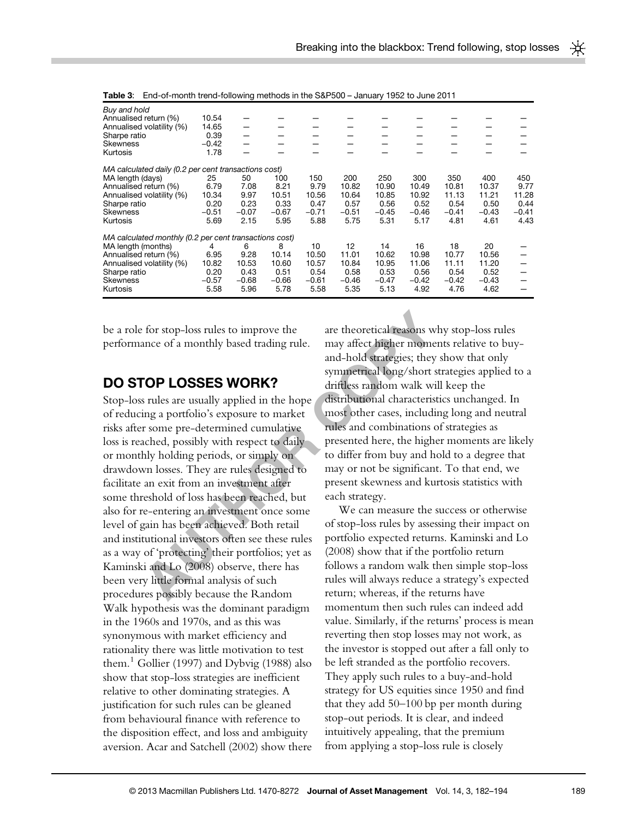| End of month trond following mothodo in the odd odd oddiddi y 100E to odno Eo Fi |                                                        |         |         |         |         |         |         |         |         |         |  |  |  |
|----------------------------------------------------------------------------------|--------------------------------------------------------|---------|---------|---------|---------|---------|---------|---------|---------|---------|--|--|--|
| Buy and hold                                                                     |                                                        |         |         |         |         |         |         |         |         |         |  |  |  |
| Annualised return (%)                                                            | 10.54                                                  |         |         |         |         |         |         |         |         |         |  |  |  |
| Annualised volatility (%)                                                        | 14.65                                                  |         |         |         |         |         |         |         |         |         |  |  |  |
| Sharpe ratio                                                                     | 0.39                                                   |         |         |         |         |         |         |         |         |         |  |  |  |
| <b>Skewness</b>                                                                  | $-0.42$                                                |         |         |         |         |         |         |         |         |         |  |  |  |
| Kurtosis                                                                         | 1.78                                                   |         |         |         |         |         |         |         |         |         |  |  |  |
| MA calculated daily (0.2 per cent transactions cost)                             |                                                        |         |         |         |         |         |         |         |         |         |  |  |  |
| MA length (days)                                                                 | 25                                                     | 50      | 100     | 150     | 200     | 250     | 300     | 350     | 400     | 450     |  |  |  |
| Annualised return (%)                                                            | 6.79                                                   | 7.08    | 8.21    | 9.79    | 10.82   | 10.90   | 10.49   | 10.81   | 10.37   | 9.77    |  |  |  |
| Annualised volatility (%)                                                        | 10.34                                                  | 9.97    | 10.51   | 10.56   | 10.64   | 10.85   | 10.92   | 11.13   | 11.21   | 11.28   |  |  |  |
| Sharpe ratio                                                                     | 0.20                                                   | 0.23    | 0.33    | 0.47    | 0.57    | 0.56    | 0.52    | 0.54    | 0.50    | 0.44    |  |  |  |
| <b>Skewness</b>                                                                  | $-0.51$                                                | $-0.07$ | $-0.67$ | $-0.71$ | $-0.51$ | $-0.45$ | $-0.46$ | $-0.41$ | $-0.43$ | $-0.41$ |  |  |  |
| Kurtosis                                                                         | 5.69                                                   | 2.15    | 5.95    | 5.88    | 5.75    | 5.31    | 5.17    | 4.81    | 4.61    | 4.43    |  |  |  |
|                                                                                  | MA calculated monthly (0.2 per cent transactions cost) |         |         |         |         |         |         |         |         |         |  |  |  |
| MA length (months)                                                               | 4                                                      | 6       | 8       | 10      | 12      | 14      | 16      | 18      | 20      |         |  |  |  |
| Annualised return (%)                                                            | 6.95                                                   | 9.28    | 10.14   | 10.50   | 11.01   | 10.62   | 10.98   | 10.77   | 10.56   |         |  |  |  |
| Annualised volatility (%)                                                        | 10.82                                                  | 10.53   | 10.60   | 10.57   | 10.84   | 10.95   | 11.06   | 11.11   | 11.20   |         |  |  |  |
| Sharpe ratio                                                                     | 0.20                                                   | 0.43    | 0.51    | 0.54    | 0.58    | 0.53    | 0.56    | 0.54    | 0.52    |         |  |  |  |
| <b>Skewness</b>                                                                  | $-0.57$                                                | $-0.68$ | $-0.66$ | $-0.61$ | $-0.46$ | $-0.47$ | $-0.42$ | $-0.42$ | $-0.43$ |         |  |  |  |
| Kurtosis                                                                         | 5.58                                                   | 5.96    | 5.78    | 5.58    | 5.35    | 5.13    | 4.92    | 4.76    | 4.62    |         |  |  |  |

|  | <b>Table 3:</b> End-of-month trend-following methods in the S&P500 - January 1952 to June 2011 |
|--|------------------------------------------------------------------------------------------------|
|--|------------------------------------------------------------------------------------------------|

be a role for stop-loss rules to improve the performance of a monthly based trading rule.

## DO STOP LOSSES WORK?

**EXECUTE THE SUBLIC STANDAGE SET AN AUTER CONDOMOTE CONDOMOTIVE THE SUBLIST THE SUBLIST THE SUBLIST THE SUBLIST THE SUBLIST THE SUBLIST THE SUBLIST THE STATE OF THE SUBLIST THE SUBLIST THE SUBLIST THE SUBLIST THE SUBLIST T** Stop-loss rules are usually applied in the hope of reducing a portfolio 's exposure to market risks after some pre-determined cumulative loss is reached, possibly with respect to daily or monthly holding periods, or simply on drawdown losses. They are rules designed to facilitate an exit from an investment after some threshold of loss has been reached, but also for re-entering an investment once some level of gain has been achieved. Both retail and institutional investors often see these rules as a way of 'protecting ' their portfolios; yet as Kaminski and Lo (2008) observe, there has been very little formal analysis of such procedures possibly because the Random Walk hypothesis was the dominant paradigm in the 1960s and 1970s, and as this was synonymous with market efficiency and rationality there was little motivation to test them. <sup>1</sup> Gollier (1997) and Dybvig (1988) also show that stop-loss strategies are inefficient relative to other dominating strategies. A justi fication for such rules can be gleaned from behavioural finance with reference to the disposition effect, and loss and ambiguity aversion. Acar and Satchell (2002) show there

are theoretical reasons why stop-loss rules may affect higher moments relative to buyand-hold strategies; they show that only symmetrical long/short strategies applied to a driftless random walk will keep the distributional characteristics unchanged. In most other cases, including long and neutral rules and combinations of strategies as presented here, the higher moments are likely to differ from buy and hold to a degree that may or not be signi ficant. To that end, we present skewness and kurtosis statistics with each strategy.

We can measure the success or otherwise of stop-loss rules by assessing their impact on portfolio expected returns. Kaminski and Lo (2008) show that if the portfolio return follows a random walk then simple stop-loss rules will always reduce a strategy 's expected return; whereas, if the returns have momentum then such rules can indeed add value. Similarly, if the returns ' process is mean reverting then stop losses may not work, as the investor is stopped out after a fall only to be left stranded as the portfolio recovers. They apply such rules to a buy-and-hold strategy for US equities since 1950 and find that they add 50 –100 bp per month during stop-out periods. It is clear, and indeed intuitively appealing, that the premium from applying a stop-loss rule is closely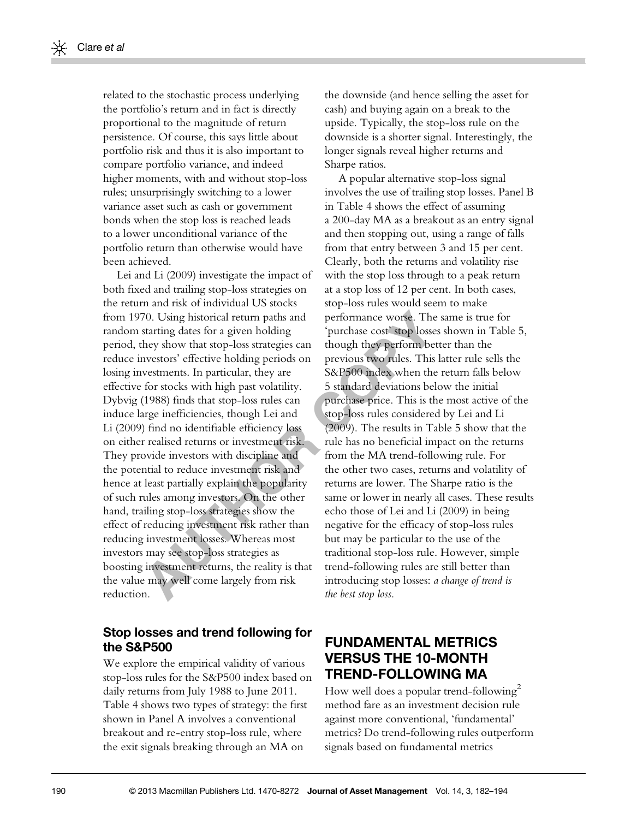related to the stochastic process underlying the portfolio 's return and in fact is directly proportional to the magnitude of return persistence. Of course, this says little about portfolio risk and thus it is also important to compare portfolio variance, and indeed higher moments, with and without stop-loss rules; unsurprisingly switching to a lower variance asset such as cash or government bonds when the stop loss is reached leads to a lower unconditional variance of the portfolio return than otherwise would have been achieved.

From 1970. Using historical return paths and<br>
andom starting dates for a given holding<br>
erformance worse. The<br>
erdod, they show that stop-loss startegies can though they perform be<br>
educe investors' effective holding perio Lei and Li (2009) investigate the impact of both fixed and trailing stop-loss strategies on the return and risk of individual US stocks from 1970. Using historical return paths and random starting dates for a given holding period, they show that stop-loss strategies can reduce investors ' effective holding periods on losing investments. In particular, they are effective for stocks with high past volatility. Dybvig (1988) finds that stop-loss rules can induce large inefficiencies, though Lei and Li (2009) find no identi fiable efficiency loss on either realised returns or investment risk. They provide investors with discipline and the potential to reduce investment risk and hence at least partially explain the popularity of such rules among investors. On the other hand, trailing stop-loss strategies show the effect of reducing investment risk rather than reducing investment losses. Whereas most investors may see stop-loss strategies as boosting investment returns, the reality is that the value may well come largely from risk reduction.

## Stop losses and trend following for the S&P500

We explore the empirical validity of various stop-loss rules for the S&P500 index based on daily returns from July 1988 to June 2011. Table 4 shows two types of strategy: the first shown in Panel A involves a conventional breakout and re-entry stop-loss rule, where the exit signals breaking through an MA on

the downside (and hence selling the asset for cash) and buying again on a break to the upside. Typically, the stop-loss rule on the downside is a shorter signal. Interestingly, the longer signals reveal higher returns and Sharpe ratios.

A popular alternative stop-loss signal involves the use of trailing stop losses. Panel B in Table 4 shows the effect of assuming a 200-day MA as a breakout as an entry signal and then stopping out, using a range of falls from that entry between 3 and 15 per cent. Clearly, both the returns and volatility rise with the stop loss through to a peak return at a stop loss of 12 per cent. In both cases, stop-loss rules would seem to make performance worse. The same is true for 'purchase cost' stop losses shown in Table 5, though they perform better than the previous two rules. This latter rule sells the S&P500 index when the return falls below 5 standard deviations below the initial purchase price. This is the most active of the stop-loss rules considered by Lei and Li (2009). The results in Table 5 show that the rule has no bene ficial impact on the returns from the MA trend-following rule. For the other two cases, returns and volatility of returns are lower. The Sharpe ratio is the same or lower in nearly all cases. These results echo those of Lei and Li (2009) in being negative for the efficacy of stop-loss rules but may be particular to the use of the traditional stop-loss rule. However, simple trend-following rules are still better than introducing stop losses: a change of trend is the best stop loss .

## FUNDAMENTAL METRICS VERSUS THE 10-MONTH TREND-FOLLOWING MA

How well does a popular trend-following 2 method fare as an investment decision rule against more conventional, 'fundamental ' metrics? Do trend-following rules outperform signals based on fundamental metrics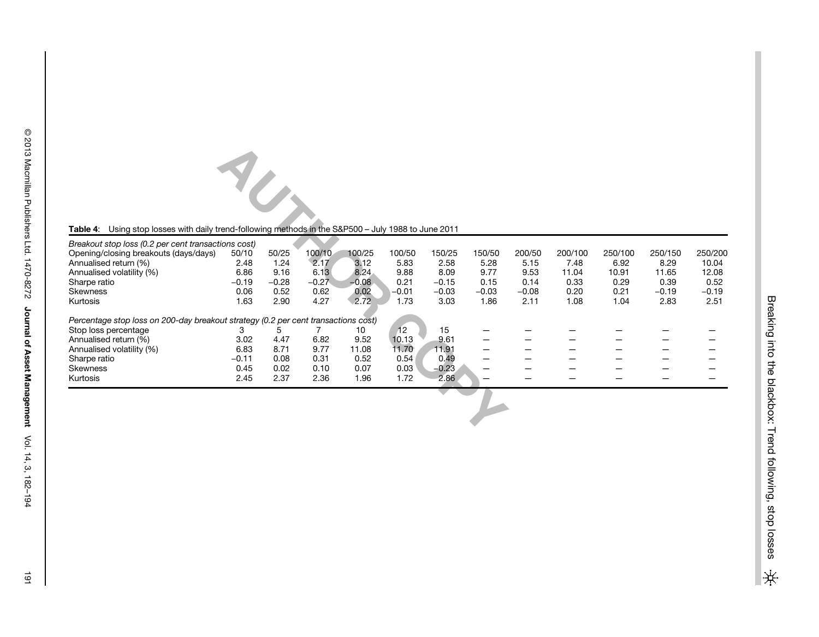|  |  |  |  |  | able 4: Using stop losses with daily trend-following methods in the S&P500 - July 1988 to June 2011 |
|--|--|--|--|--|-----------------------------------------------------------------------------------------------------|
|--|--|--|--|--|-----------------------------------------------------------------------------------------------------|

|                                                                                                         | $P_{\mathcal{C}}$ |         |         |         |         |         |         |         |         |         |         |         |
|---------------------------------------------------------------------------------------------------------|-------------------|---------|---------|---------|---------|---------|---------|---------|---------|---------|---------|---------|
| Using stop losses with daily trend-following methods in the S&P500 - July 1988 to June 2011<br>Table 4: |                   |         |         |         |         |         |         |         |         |         |         |         |
| Breakout stop loss (0.2 per cent transactions cost)                                                     |                   |         |         |         |         |         |         |         |         |         |         |         |
| Opening/closing breakouts (days/days)                                                                   | 50/10             | 50/25   | 100/10  | 100/25  | 100/50  | 150/25  | 150/50  | 200/50  | 200/100 | 250/100 | 250/150 | 250/200 |
| Annualised return (%)                                                                                   | 2.48              | 1.24    | 2.17    | 3.12    | 5.83    | 2.58    | 5.28    | 5.15    | 7.48    | 6.92    | 8.29    | 10.04   |
| Annualised volatility (%)                                                                               | 6.86              | 9.16    | 6.13    | 8.24    | 9.88    | 8.09    | 9.77    | 9.53    | 11.04   | 10.91   | 11.65   | 12.08   |
| Sharpe ratio                                                                                            | $-0.19$           | $-0.28$ | $-0.27$ | $-0.08$ | 0.21    | $-0.15$ | 0.15    | 0.14    | 0.33    | 0.29    | 0.39    | 0.52    |
| <b>Skewness</b>                                                                                         | 0.06              | 0.52    | 0.62    | 0.02    | $-0.01$ | $-0.03$ | $-0.03$ | $-0.08$ | 0.20    | 0.21    | $-0.19$ | $-0.19$ |
| Kurtosis                                                                                                | 1.63              | 2.90    | 4.27    | 2.72    | 1.73    | 3.03    | 1.86    | 2.11    | 1.08    | 1.04    | 2.83    | 2.51    |
|                                                                                                         |                   |         |         |         |         |         |         |         |         |         |         |         |
| Percentage stop loss on 200-day breakout strategy (0.2 per cent transactions cost)                      |                   |         |         |         |         |         |         |         |         |         |         |         |
| Stop loss percentage                                                                                    | 3                 | 5       | 7       | 10      | 12      | 15      |         |         |         |         |         |         |
| Annualised return (%)                                                                                   | 3.02              | 4.47    | 6.82    | 9.52    | 10.13   | 9.61    |         |         |         |         |         |         |
| Annualised volatility (%)                                                                               | 6.83              | 8.71    | 9.77    | 11.08   | 11.70   | 11.91   |         |         |         |         |         |         |
| Sharpe ratio                                                                                            | $-0.11$           | 0.08    | 0.31    | 0.52    | 0.54    | 0.49    |         |         |         |         |         |         |
| <b>Skewness</b>                                                                                         | 0.45              | 0.02    | 0.10    | 0.07    | 0.03    | $-0.23$ |         |         |         |         |         |         |
| Kurtosis                                                                                                | 2.45              | 2.37    | 2.36    | 1.96    | 1.72    | 2.86    |         |         |         |         |         |         |
|                                                                                                         |                   |         |         |         |         |         |         |         |         |         |         |         |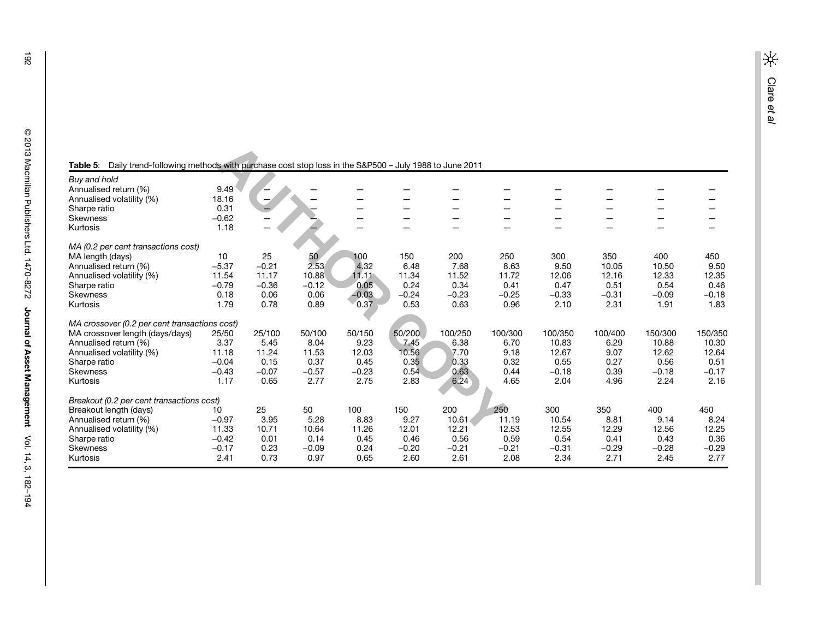| Daily trend-following methods with purchase cost stop loss in the S&P500 - July 1988 to June 2011<br>Table 5: |         |         |         |         |         |         |         |         |         |         |         |
|---------------------------------------------------------------------------------------------------------------|---------|---------|---------|---------|---------|---------|---------|---------|---------|---------|---------|
| Buy and hold                                                                                                  |         |         |         |         |         |         |         |         |         |         |         |
| Annualised return (%)                                                                                         | 9.49    |         |         |         |         |         |         |         |         |         |         |
| Annualised volatility (%)                                                                                     | 18.16   |         |         |         |         |         |         |         |         |         |         |
| Sharpe ratio                                                                                                  | 0.31    |         |         |         |         |         |         |         |         |         |         |
| <b>Skewness</b>                                                                                               | $-0.62$ |         |         |         |         |         |         |         |         |         |         |
| Kurtosis                                                                                                      | 1.18    |         |         |         |         |         |         |         |         |         |         |
|                                                                                                               |         |         |         |         |         |         |         |         |         |         |         |
| MA (0.2 per cent transactions cost)<br>MA length (days)                                                       | 10      | 25      | 50      | 100     | 150     | 200     | 250     | 300     | 350     | 400     | 450     |
| Annualised return (%)                                                                                         | $-5.37$ | $-0.21$ | 2.53    | 4.32    | 6.48    | 7.68    | 8.63    | 9.50    | 10.05   | 10.50   | 9.50    |
| Annualised volatility (%)                                                                                     | 11.54   | 11.17   | 10.88   | 11.11   | 11.34   | 11.52   | 11.72   | 12.06   | 12.16   | 12.33   | 12.35   |
| Sharpe ratio                                                                                                  | $-0.79$ | $-0.36$ | $-0.12$ | 0.05    | 0.24    | 0.34    | 0.41    | 0.47    | 0.51    | 0.54    | 0.46    |
| <b>Skewness</b>                                                                                               | 0.18    | 0.06    | 0.06    | $-0.03$ | $-0.24$ | $-0.23$ | $-0.25$ | $-0.33$ | $-0.31$ | $-0.09$ | $-0.18$ |
| Kurtosis                                                                                                      | 1.79    | 0.78    | 0.89    | 0.37    | 0.53    | 0.63    | 0.96    | 2.10    | 2.31    | 1.91    | 1.83    |
|                                                                                                               |         |         |         |         |         |         |         |         |         |         |         |
| MA crossover (0.2 per cent transactions cost)                                                                 |         |         |         |         |         |         |         |         |         |         |         |
| MA crossover length (days/days)                                                                               | 25/50   | 25/100  | 50/100  | 50/150  | 50/200  | 100/250 | 100/300 | 100/350 | 100/400 | 150/300 | 150/350 |
| Annualised return (%)                                                                                         | 3.37    | 5.45    | 8.04    | 9.23    | 7.45    | 6.38    | 6.70    | 10.83   | 6.29    | 10.88   | 10.30   |
| Annualised volatility (%)                                                                                     | 11.18   | 11.24   | 11.53   | 12.03   | 10.56   | 7.70    | 9.18    | 12.67   | 9.07    | 12.62   | 12.64   |
| Sharpe ratio                                                                                                  | $-0.04$ | 0.15    | 0.37    | 0.45    | 0.35    | 0.33    | 0.32    | 0.55    | 0.27    | 0.56    | 0.51    |
| <b>Skewness</b>                                                                                               | $-0.43$ | $-0.07$ | $-0.57$ | $-0.23$ | 0.54    | 0.63    | 0.44    | $-0.18$ | 0.39    | $-0.18$ | $-0.17$ |
| Kurtosis                                                                                                      | 1.17    | 0.65    | 2.77    | 2.75    | 2.83    | 6.24    | 4.65    | 2.04    | 4.96    | 2.24    | 2.16    |
| Breakout (0.2 per cent transactions cost)                                                                     |         |         |         |         |         |         |         |         |         |         |         |
| Breakout length (days)                                                                                        | 10      | 25      | 50      | 100     | 150     | 200     | 250     | 300     | 350     | 400     | 450     |
| Annualised return (%)                                                                                         | $-0.97$ | 3.95    | 5.28    | 8.83    | 9.27    | 10.61   | 11.19   | 10.54   | 8.81    | 9.14    | 8.24    |
| Annualised volatility (%)                                                                                     | 11.33   | 10.71   | 10.64   | 11.26   | 12.01   | 12.21   | 12.53   | 12.55   | 12.29   | 12.56   | 12.25   |
| Sharpe ratio                                                                                                  | $-0.42$ | 0.01    | 0.14    | 0.45    | 0.46    | 0.56    | 0.59    | 0.54    | 0.41    | 0.43    | 0.36    |
| <b>Skewness</b>                                                                                               | $-0.17$ | 0.23    | $-0.09$ | 0.24    | $-0.20$ | $-0.21$ | $-0.21$ | $-0.31$ | $-0.29$ | $-0.28$ | $-0.29$ |
| Kurtosis                                                                                                      | 2.41    | 0.73    | 0.97    | 0.65    | 2.60    | 2.61    | 2.08    | 2.34    | 2.71    | 2.45    | 2.77    |
|                                                                                                               |         |         |         |         |         |         |         |         |         |         |         |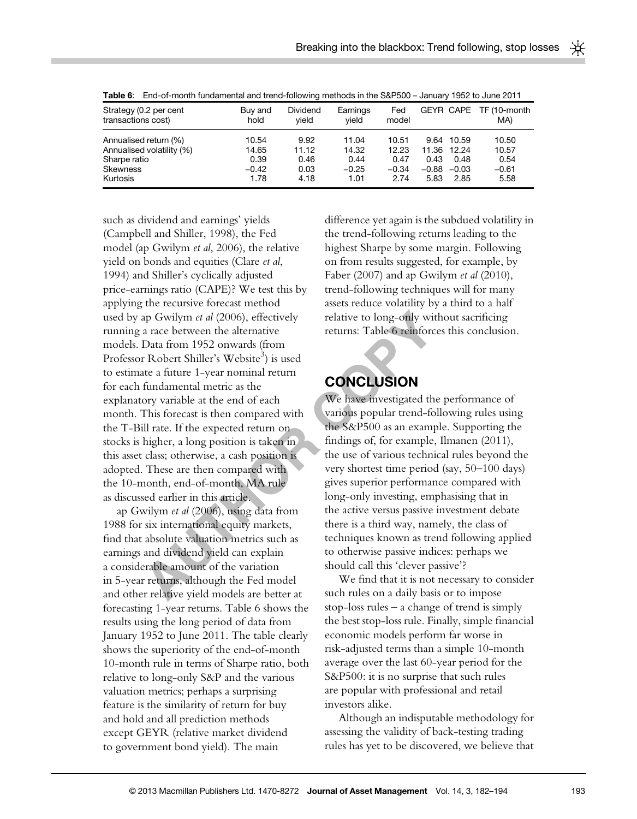| Strategy (0.2 per cent<br>transactions cost)                                                      | Buy and<br>hold                           | <b>Dividend</b><br>vield              | Earnings<br>vield                         | Fed<br>model                              |                                                                                    | GEYR CAPE TF (10-month<br>MA)             |
|---------------------------------------------------------------------------------------------------|-------------------------------------------|---------------------------------------|-------------------------------------------|-------------------------------------------|------------------------------------------------------------------------------------|-------------------------------------------|
| Annualised return (%)<br>Annualised volatility (%)<br>Sharpe ratio<br><b>Skewness</b><br>Kurtosis | 10.54<br>14.65<br>0.39<br>$-0.42$<br>1.78 | 9.92<br>11.12<br>0.46<br>0.03<br>4.18 | 11.04<br>14.32<br>0.44<br>$-0.25$<br>1.01 | 10.51<br>12.23<br>0.47<br>$-0.34$<br>2.74 | 9.64 10.59<br>11.36<br>12.24<br>0.43<br>0.48<br>$-0.88$<br>$-0.03$<br>5.83<br>2.85 | 10.50<br>10.57<br>0.54<br>$-0.61$<br>5.58 |

Table 6: End-of-month fundamental and trend-following methods in the S&P500 – January 1952 to June 2011

be starting a race between the alternative to long-only wirding a race between the alternative to long-only wirding a race between the alternative and the artistic property of the property of the property of the property o such as dividend and earnings ' yields (Campbell and Shiller, 1998), the Fed model (ap Gwilym et al, 2006), the relative yield on bonds and equities (Clare et al , 1994) and Shiller 's cyclically adjusted price-earnings ratio (CAPE)? We test this by applying the recursive forecast method used by ap Gwilym et al (2006), effectively running a race between the alternative models. Data from 1952 onwards (from Professor Robert Shiller's Website<sup>3</sup>) is used to estimate a future 1-year nominal return for each fundamental metric as the explanatory variable at the end of each month. This forecast is then compared with the T-Bill rate. If the expected return on stocks is higher, a long position is taken in this asset class; otherwise, a cash position is adopted. These are then compared with the 10-month, end-of-month, MA rule as discussed earlier in this article.

ap Gwilym et al (2006), using data from 1988 for six international equity markets, find that absolute valuation metrics such as earnings and dividend yield can explain a considerable amount of the variation in 5-year returns, although the Fed model and other relative yield models are better at forecasting 1-year returns. Table 6 shows the results using the long period of data from January 1952 to June 2011. The table clearly shows the superiority of the end-of-month 10-month rule in terms of Sharpe ratio, both relative to long-only S&P and the various valuation metrics; perhaps a surprising feature is the similarity of return for buy and hold and all prediction methods except GEYR (relative market dividend to government bond yield). The main

difference yet again is the subdued volatility in the trend-following returns leading to the highest Sharpe by some margin. Following on from results suggested, for example, by Faber (2007) and ap Gwilym *et al* (2010), trend-following techniques will for many assets reduce volatility by a third to a half relative to long-only without sacri ficing returns: Table 6 reinforces this conclusion.

## **CONCLUSION**

We have investigated the performance of various popular trend-following rules using the S&P500 as an example. Supporting the findings of, for example, Ilmanen (2011), the use of various technical rules beyond the very shortest time period (say, 50 –100 days) gives superior performance compared with long-only investing, emphasising that in the active versus passive investment debate there is a third way, namely, the class of techniques known as trend following applied to otherwise passive indices: perhaps we should call this 'clever passive ' ?

We find that it is not necessary to consider such rules on a daily basis or to impose stop-loss rules – a change of trend is simply the best stop-loss rule. Finally, simple financial economic models perform far worse in risk-adjusted terms than a simple 10-month average over the last 60-year period for the S&P500: it is no surprise that such rules are popular with professional and retail investors alike.

Although an indisputable methodology for assessing the validity of back-testing trading rules has yet to be discovered, we believe that